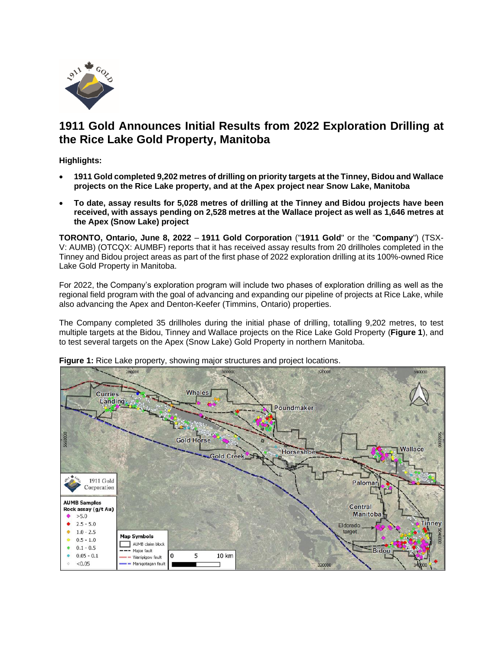

# **1911 Gold Announces Initial Results from 2022 Exploration Drilling at the Rice Lake Gold Property, Manitoba**

**Highlights:**

- **1911 Gold completed 9,202 metres of drilling on prioritytargets at the Tinney, Bidou and Wallace projects on the Rice Lake property, and at the Apex project near Snow Lake, Manitoba**
- **To date, assay results for 5,028 metres of drilling at the Tinney and Bidou projects have been received, with assays pending on 2,528 metres at the Wallace project as well as 1,646 metres at the Apex (Snow Lake) project**

**TORONTO, Ontario, June 8, 2022** – **1911 Gold Corporation** ("**1911 Gold**" or the "**Company**") (TSX-V: AUMB) (OTCQX: AUMBF) reports that it has received assay results from 20 drillholes completed in the Tinney and Bidou project areas as part of the first phase of 2022 exploration drilling at its 100%-owned Rice Lake Gold Property in Manitoba.

For 2022, the Company's exploration program will include two phases of exploration drilling as well as the regional field program with the goal of advancing and expanding our pipeline of projects at Rice Lake, while also advancing the Apex and Denton-Keefer (Timmins, Ontario) properties.

The Company completed 35 drillholes during the initial phase of drilling, totalling 9,202 metres, to test multiple targets at the Bidou, Tinney and Wallace projects on the Rice Lake Gold Property (**Figure 1**), and to test several targets on the Apex (Snow Lake) Gold Property in northern Manitoba.



**Figure 1:** Rice Lake property, showing major structures and project locations.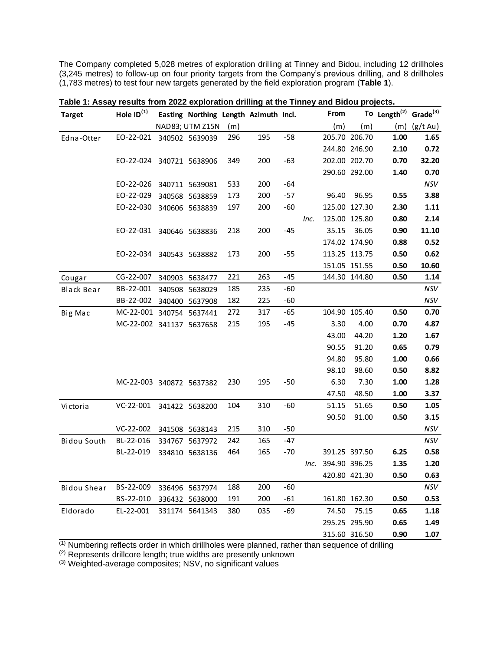The Company completed 5,028 metres of exploration drilling at Tinney and Bidou, including 12 drillholes (3,245 metres) to follow-up on four priority targets from the Company's previous drilling, and 8 drillholes (1,783 metres) to test four new targets generated by the field exploration program (**Table 1**).

| <b>Target</b>      | Hole $ID^{(1)}$          | Easting Northing Length Azimuth Incl. |     |     |       |      | From          |               | To Length <sup>(2)</sup> Grade <sup>(3)</sup> |               |
|--------------------|--------------------------|---------------------------------------|-----|-----|-------|------|---------------|---------------|-----------------------------------------------|---------------|
|                    |                          | NAD83; UTM Z15N                       | (m) |     |       |      | (m)           | (m)           | (m)                                           | $(g/t \, Au)$ |
| Edna-Otter         | EO-22-021 340502 5639039 |                                       | 296 | 195 | $-58$ |      |               | 205.70 206.70 | 1.00                                          | 1.65          |
|                    |                          |                                       |     |     |       |      |               | 244.80 246.90 | 2.10                                          | 0.72          |
|                    | EO-22-024                | 340721 5638906                        | 349 | 200 | $-63$ |      |               | 202.00 202.70 | 0.70                                          | 32.20         |
|                    |                          |                                       |     |     |       |      |               | 290.60 292.00 | 1.40                                          | 0.70          |
|                    | EO-22-026                | 340711 5639081                        | 533 | 200 | $-64$ |      |               |               |                                               | NSV           |
|                    | EO-22-029                | 340568 5638859                        | 173 | 200 | $-57$ |      | 96.40         | 96.95         | 0.55                                          | 3.88          |
|                    | EO-22-030                | 340606 5638839                        | 197 | 200 | $-60$ |      |               | 125.00 127.30 | 2.30                                          | 1.11          |
|                    |                          |                                       |     |     |       | Inc. |               | 125.00 125.80 | 0.80                                          | 2.14          |
|                    | EO-22-031                | 340646 5638836                        | 218 | 200 | $-45$ |      | 35.15         | 36.05         | 0.90                                          | 11.10         |
|                    |                          |                                       |     |     |       |      |               | 174.02 174.90 | 0.88                                          | 0.52          |
|                    | EO-22-034                | 340543 5638882                        | 173 | 200 | $-55$ |      |               | 113.25 113.75 | 0.50                                          | 0.62          |
|                    |                          |                                       |     |     |       |      |               | 151.05 151.55 | 0.50                                          | 10.60         |
| Cougar             | CG-22-007                | 340903 5638477                        | 221 | 263 | $-45$ |      |               | 144.30 144.80 | 0.50                                          | 1.14          |
| <b>Black Bear</b>  | BB-22-001                | 340508 5638029                        | 185 | 235 | $-60$ |      |               |               |                                               | NSV           |
|                    | BB-22-002 340400 5637908 |                                       | 182 | 225 | $-60$ |      |               |               |                                               | NSV           |
| Big Mac            | MC-22-001 340754 5637441 |                                       | 272 | 317 | $-65$ |      |               | 104.90 105.40 | 0.50                                          | 0.70          |
|                    | MC-22-002 341137 5637658 |                                       | 215 | 195 | $-45$ |      | 3.30          | 4.00          | 0.70                                          | 4.87          |
|                    |                          |                                       |     |     |       |      | 43.00         | 44.20         | 1.20                                          | 1.67          |
|                    |                          |                                       |     |     |       |      | 90.55         | 91.20         | 0.65                                          | 0.79          |
|                    |                          |                                       |     |     |       |      | 94.80         | 95.80         | 1.00                                          | 0.66          |
|                    |                          |                                       |     |     |       |      | 98.10         | 98.60         | 0.50                                          | 8.82          |
|                    | MC-22-003 340872 5637382 |                                       | 230 | 195 | -50   |      | 6.30          | 7.30          | 1.00                                          | 1.28          |
|                    |                          |                                       |     |     |       |      | 47.50         | 48.50         | 1.00                                          | 3.37          |
| Victoria           | $VC-22-001$              | 341422 5638200                        | 104 | 310 | $-60$ |      | 51.15         | 51.65         | 0.50                                          | 1.05          |
|                    |                          |                                       |     |     |       |      | 90.50         | 91.00         | 0.50                                          | 3.15          |
|                    | VC-22-002                | 341508 5638143                        | 215 | 310 | $-50$ |      |               |               |                                               | NSV           |
| Bidou South        | BL-22-016                | 334767 5637972                        | 242 | 165 | $-47$ |      |               |               |                                               | NSV           |
|                    | BL-22-019                | 334810 5638136                        | 464 | 165 | $-70$ |      |               | 391.25 397.50 | 6.25                                          | 0.58          |
|                    |                          |                                       |     |     |       | Inc. | 394.90 396.25 |               | 1.35                                          | 1.20          |
|                    |                          |                                       |     |     |       |      |               | 420.80 421.30 | 0.50                                          | 0.63          |
| <b>Bidou Shear</b> | BS-22-009                | 336496 5637974                        | 188 | 200 | -60   |      |               |               |                                               | NSV           |
|                    | BS-22-010                | 336432 5638000                        | 191 | 200 | $-61$ |      |               | 161.80 162.30 | 0.50                                          | 0.53          |
| Eldorado           | EL-22-001                | 331174 5641343                        | 380 | 035 | -69   |      | 74.50         | 75.15         | 0.65                                          | 1.18          |
|                    |                          |                                       |     |     |       |      |               | 295.25 295.90 | 0.65                                          | 1.49          |
|                    |                          |                                       |     |     |       |      |               | 315.60 316.50 | 0.90                                          | 1.07          |
|                    |                          |                                       |     |     |       |      |               |               |                                               |               |

**Table 1: Assay results from 2022 exploration drilling at the Tinney and Bidou projects.**

(1) Numbering reflects order in which drillholes were planned, rather than sequence of drilling

(2) Represents drillcore length; true widths are presently unknown

(3) Weighted-average composites; NSV, no significant values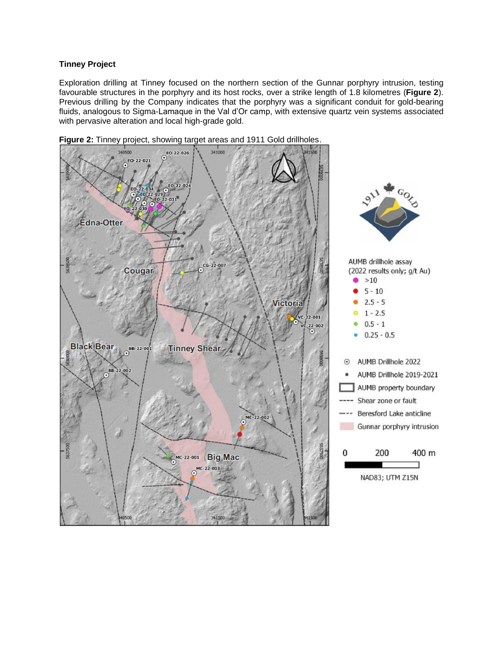# **Tinney Project**

Exploration drilling at Tinney focused on the northern section of the Gunnar porphyry intrusion, testing favourable structures in the porphyry and its host rocks, over a strike length of 1.8 kilometres (**Figure 2**). Previous drilling by the Company indicates that the porphyry was a significant conduit for gold-bearing fluids, analogous to Sigma-Lamaque in the Val d'Or camp, with extensive quartz vein systems associated with pervasive alteration and local high-grade gold.



**Figure 2:** Tinney project, showing target areas and 1911 Gold drillholes.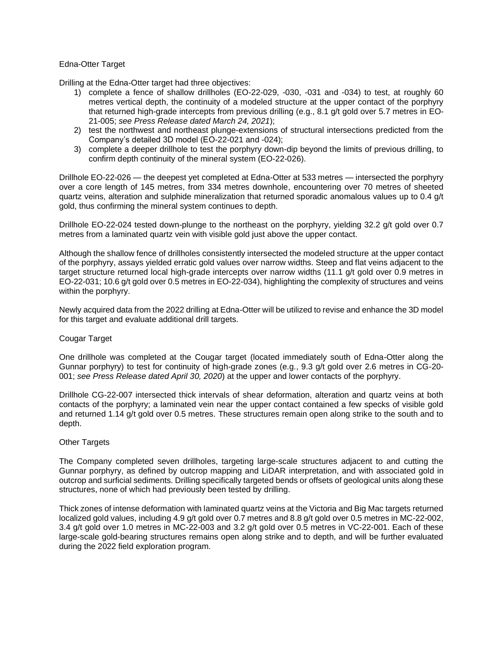# Edna-Otter Target

Drilling at the Edna-Otter target had three objectives:

- 1) complete a fence of shallow drillholes (EO-22-029, -030, -031 and -034) to test, at roughly 60 metres vertical depth, the continuity of a modeled structure at the upper contact of the porphyry that returned high-grade intercepts from previous drilling (e.g., 8.1 g/t gold over 5.7 metres in EO-21-005; *see Press Release dated March 24, 2021*);
- 2) test the northwest and northeast plunge-extensions of structural intersections predicted from the Company's detailed 3D model (EO-22-021 and -024);
- 3) complete a deeper drillhole to test the porphyry down-dip beyond the limits of previous drilling, to confirm depth continuity of the mineral system (EO-22-026).

Drillhole EO-22-026 — the deepest yet completed at Edna-Otter at 533 metres — intersected the porphyry over a core length of 145 metres, from 334 metres downhole, encountering over 70 metres of sheeted quartz veins, alteration and sulphide mineralization that returned sporadic anomalous values up to 0.4 g/t gold, thus confirming the mineral system continues to depth.

Drillhole EO-22-024 tested down-plunge to the northeast on the porphyry, yielding 32.2 g/t gold over 0.7 metres from a laminated quartz vein with visible gold just above the upper contact.

Although the shallow fence of drillholes consistently intersected the modeled structure at the upper contact of the porphyry, assays yielded erratic gold values over narrow widths. Steep and flat veins adjacent to the target structure returned local high-grade intercepts over narrow widths (11.1 g/t gold over 0.9 metres in EO-22-031; 10.6 g/t gold over 0.5 metres in EO-22-034), highlighting the complexity of structures and veins within the porphyry.

Newly acquired data from the 2022 drilling at Edna-Otter will be utilized to revise and enhance the 3D model for this target and evaluate additional drill targets.

# Cougar Target

One drillhole was completed at the Cougar target (located immediately south of Edna-Otter along the Gunnar porphyry) to test for continuity of high-grade zones (e.g., 9.3 g/t gold over 2.6 metres in CG-20- 001; *see Press Release dated April 30, 2020*) at the upper and lower contacts of the porphyry.

Drillhole CG-22-007 intersected thick intervals of shear deformation, alteration and quartz veins at both contacts of the porphyry; a laminated vein near the upper contact contained a few specks of visible gold and returned 1.14 g/t gold over 0.5 metres. These structures remain open along strike to the south and to depth.

# Other Targets

The Company completed seven drillholes, targeting large-scale structures adjacent to and cutting the Gunnar porphyry, as defined by outcrop mapping and LiDAR interpretation, and with associated gold in outcrop and surficial sediments. Drilling specifically targeted bends or offsets of geological units along these structures, none of which had previously been tested by drilling.

Thick zones of intense deformation with laminated quartz veins at the Victoria and Big Mac targets returned localized gold values, including 4.9 g/t gold over 0.7 metres and 8.8 g/t gold over 0.5 metres in MC-22-002, 3.4 g/t gold over 1.0 metres in MC-22-003 and 3.2 g/t gold over 0.5 metres in VC-22-001. Each of these large-scale gold-bearing structures remains open along strike and to depth, and will be further evaluated during the 2022 field exploration program.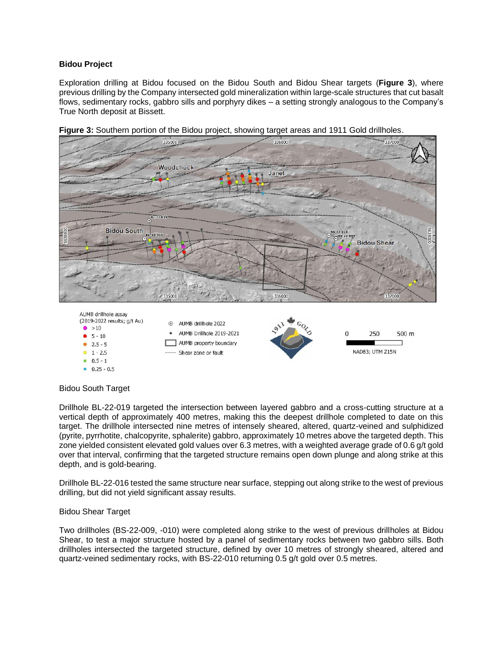# **Bidou Project**

Exploration drilling at Bidou focused on the Bidou South and Bidou Shear targets (**Figure 3**), where previous drilling by the Company intersected gold mineralization within large-scale structures that cut basalt flows, sedimentary rocks, gabbro sills and porphyry dikes – a setting strongly analogous to the Company's True North deposit at Bissett.



**Figure 3:** Southern portion of the Bidou project, showing target areas and 1911 Gold drillholes.

# Bidou South Target

 $0.5 - 1$  $0.25 - 0.5$ 

Drillhole BL-22-019 targeted the intersection between layered gabbro and a cross-cutting structure at a vertical depth of approximately 400 metres, making this the deepest drillhole completed to date on this target. The drillhole intersected nine metres of intensely sheared, altered, quartz-veined and sulphidized (pyrite, pyrrhotite, chalcopyrite, sphalerite) gabbro, approximately 10 metres above the targeted depth. This zone yielded consistent elevated gold values over 6.3 metres, with a weighted average grade of 0.6 g/t gold over that interval, confirming that the targeted structure remains open down plunge and along strike at this depth, and is gold-bearing.

Drillhole BL-22-016 tested the same structure near surface, stepping out along strike to the west of previous drilling, but did not yield significant assay results.

# Bidou Shear Target

Two drillholes (BS-22-009, -010) were completed along strike to the west of previous drillholes at Bidou Shear, to test a major structure hosted by a panel of sedimentary rocks between two gabbro sills. Both drillholes intersected the targeted structure, defined by over 10 metres of strongly sheared, altered and quartz-veined sedimentary rocks, with BS-22-010 returning 0.5 g/t gold over 0.5 metres.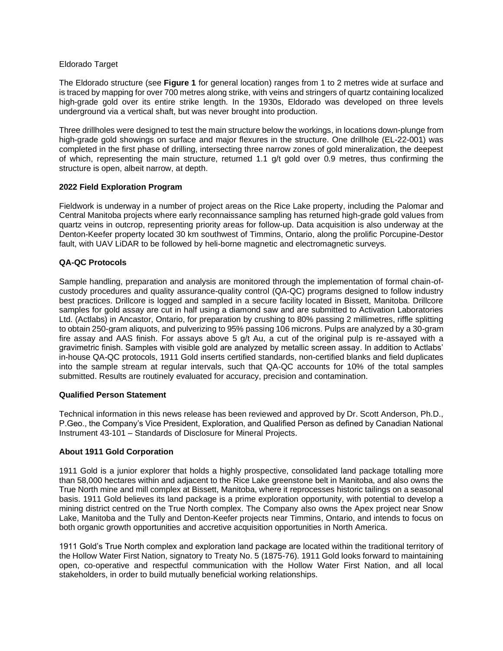### Eldorado Target

The Eldorado structure (see **Figure 1** for general location) ranges from 1 to 2 metres wide at surface and is traced by mapping for over 700 metres along strike, with veins and stringers of quartz containing localized high-grade gold over its entire strike length. In the 1930s, Eldorado was developed on three levels underground via a vertical shaft, but was never brought into production.

Three drillholes were designed to test the main structure below the workings, in locations down-plunge from high-grade gold showings on surface and major flexures in the structure. One drillhole (EL-22-001) was completed in the first phase of drilling, intersecting three narrow zones of gold mineralization, the deepest of which, representing the main structure, returned 1.1 g/t gold over 0.9 metres, thus confirming the structure is open, albeit narrow, at depth.

# **2022 Field Exploration Program**

Fieldwork is underway in a number of project areas on the Rice Lake property, including the Palomar and Central Manitoba projects where early reconnaissance sampling has returned high-grade gold values from quartz veins in outcrop, representing priority areas for follow-up. Data acquisition is also underway at the Denton-Keefer property located 30 km southwest of Timmins, Ontario, along the prolific Porcupine-Destor fault, with UAV LiDAR to be followed by heli-borne magnetic and electromagnetic surveys.

# **QA-QC Protocols**

Sample handling, preparation and analysis are monitored through the implementation of formal chain-ofcustody procedures and quality assurance-quality control (QA-QC) programs designed to follow industry best practices. Drillcore is logged and sampled in a secure facility located in Bissett, Manitoba. Drillcore samples for gold assay are cut in half using a diamond saw and are submitted to Activation Laboratories Ltd. (Actlabs) in Ancastor, Ontario, for preparation by crushing to 80% passing 2 millimetres, riffle splitting to obtain 250-gram aliquots, and pulverizing to 95% passing 106 microns. Pulps are analyzed by a 30-gram fire assay and AAS finish. For assays above 5 g/t Au, a cut of the original pulp is re-assayed with a gravimetric finish. Samples with visible gold are analyzed by metallic screen assay. In addition to Actlabs' in-house QA-QC protocols, 1911 Gold inserts certified standards, non-certified blanks and field duplicates into the sample stream at regular intervals, such that QA-QC accounts for 10% of the total samples submitted. Results are routinely evaluated for accuracy, precision and contamination.

# **Qualified Person Statement**

Technical information in this news release has been reviewed and approved by Dr. Scott Anderson, Ph.D., P.Geo., the Company's Vice President, Exploration, and Qualified Person as defined by Canadian National Instrument 43-101 – Standards of Disclosure for Mineral Projects.

# **About 1911 Gold Corporation**

1911 Gold is a junior explorer that holds a highly prospective, consolidated land package totalling more than 58,000 hectares within and adjacent to the Rice Lake greenstone belt in Manitoba, and also owns the True North mine and mill complex at Bissett, Manitoba, where it reprocesses historic tailings on a seasonal basis. 1911 Gold believes its land package is a prime exploration opportunity, with potential to develop a mining district centred on the True North complex. The Company also owns the Apex project near Snow Lake, Manitoba and the Tully and Denton-Keefer projects near Timmins, Ontario, and intends to focus on both organic growth opportunities and accretive acquisition opportunities in North America.

1911 Gold's True North complex and exploration land package are located within the traditional territory of the Hollow Water First Nation, signatory to Treaty No. 5 (1875-76). 1911 Gold looks forward to maintaining open, co-operative and respectful communication with the Hollow Water First Nation, and all local stakeholders, in order to build mutually beneficial working relationships.